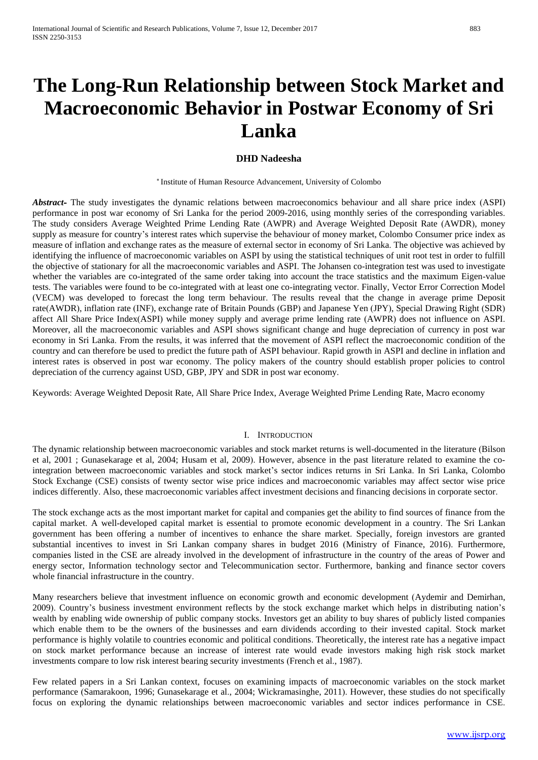# **The Long-Run Relationship between Stock Market and Macroeconomic Behavior in Postwar Economy of Sri Lanka**

# **DHD Nadeesha**

\* Institute of Human Resource Advancement, University of Colombo

*Abstract***-** The study investigates the dynamic relations between macroeconomics behaviour and all share price index (ASPI) performance in post war economy of Sri Lanka for the period 2009-2016, using monthly series of the corresponding variables. The study considers Average Weighted Prime Lending Rate (AWPR) and Average Weighted Deposit Rate (AWDR), money supply as measure for country's interest rates which supervise the behaviour of money market, Colombo Consumer price index as measure of inflation and exchange rates as the measure of external sector in economy of Sri Lanka. The objective was achieved by identifying the influence of macroeconomic variables on ASPI by using the statistical techniques of unit root test in order to fulfill the objective of stationary for all the macroeconomic variables and ASPI. The Johansen co-integration test was used to investigate whether the variables are co-integrated of the same order taking into account the trace statistics and the maximum Eigen-value tests. The variables were found to be co-integrated with at least one co-integrating vector. Finally, Vector Error Correction Model (VECM) was developed to forecast the long term behaviour. The results reveal that the change in average prime Deposit rate(AWDR), inflation rate (INF), exchange rate of Britain Pounds (GBP) and Japanese Yen (JPY), Special Drawing Right (SDR) affect All Share Price Index(ASPI) while money supply and average prime lending rate (AWPR) does not influence on ASPI. Moreover, all the macroeconomic variables and ASPI shows significant change and huge depreciation of currency in post war economy in Sri Lanka. From the results, it was inferred that the movement of ASPI reflect the macroeconomic condition of the country and can therefore be used to predict the future path of ASPI behaviour. Rapid growth in ASPI and decline in inflation and interest rates is observed in post war economy. The policy makers of the country should establish proper policies to control depreciation of the currency against USD, GBP, JPY and SDR in post war economy.

Keywords: Average Weighted Deposit Rate, All Share Price Index, Average Weighted Prime Lending Rate, Macro economy

#### I. INTRODUCTION

The dynamic relationship between macroeconomic variables and stock market returns is well-documented in the literature (Bilson et al, 2001 ; Gunasekarage et al, 2004; Husam et al, 2009). However, absence in the past literature related to examine the cointegration between macroeconomic variables and stock market's sector indices returns in Sri Lanka. In Sri Lanka, Colombo Stock Exchange (CSE) consists of twenty sector wise price indices and macroeconomic variables may affect sector wise price indices differently. Also, these macroeconomic variables affect investment decisions and financing decisions in corporate sector.

The stock exchange acts as the most important market for capital and companies get the ability to find sources of finance from the capital market. A well-developed capital market is essential to promote economic development in a country. The Sri Lankan government has been offering a number of incentives to enhance the share market. Specially, foreign investors are granted substantial incentives to invest in Sri Lankan company shares in budget 2016 (Ministry of Finance, 2016). Furthermore, companies listed in the CSE are already involved in the development of infrastructure in the country of the areas of Power and energy sector, Information technology sector and Telecommunication sector. Furthermore, banking and finance sector covers whole financial infrastructure in the country.

Many researchers believe that investment influence on economic growth and economic development (Aydemir and Demirhan, 2009). Country's business investment environment reflects by the stock exchange market which helps in distributing nation's wealth by enabling wide ownership of public company stocks. Investors get an ability to buy shares of publicly listed companies which enable them to be the owners of the businesses and earn dividends according to their invested capital. Stock market performance is highly volatile to countries economic and political conditions. Theoretically, the interest rate has a negative impact on stock market performance because an increase of interest rate would evade investors making high risk stock market investments compare to low risk interest bearing security investments (French et al., 1987).

Few related papers in a Sri Lankan context, focuses on examining impacts of macroeconomic variables on the stock market performance (Samarakoon, 1996; Gunasekarage et al., 2004; Wickramasinghe, 2011). However, these studies do not specifically focus on exploring the dynamic relationships between macroeconomic variables and sector indices performance in CSE.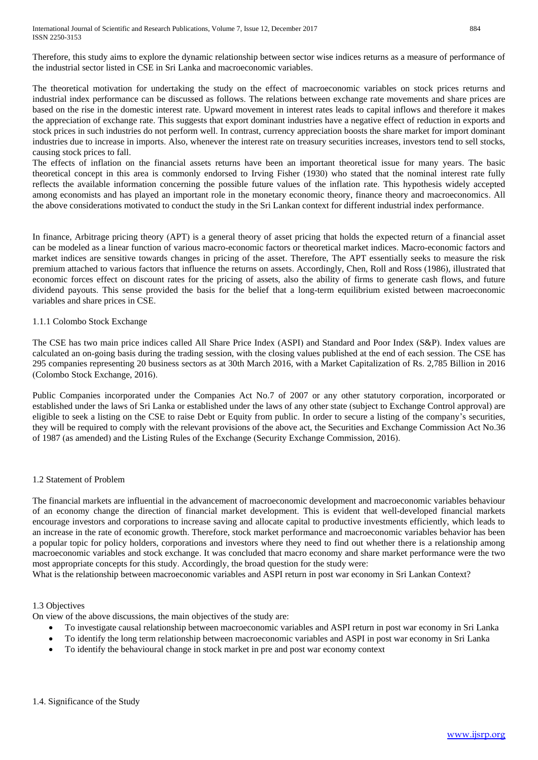International Journal of Scientific and Research Publications, Volume 7, Issue 12, December 2017 884 ISSN 2250-3153

Therefore, this study aims to explore the dynamic relationship between sector wise indices returns as a measure of performance of the industrial sector listed in CSE in Sri Lanka and macroeconomic variables.

The theoretical motivation for undertaking the study on the effect of macroeconomic variables on stock prices returns and industrial index performance can be discussed as follows. The relations between exchange rate movements and share prices are based on the rise in the domestic interest rate. Upward movement in interest rates leads to capital inflows and therefore it makes the appreciation of exchange rate. This suggests that export dominant industries have a negative effect of reduction in exports and stock prices in such industries do not perform well. In contrast, currency appreciation boosts the share market for import dominant industries due to increase in imports. Also, whenever the interest rate on treasury securities increases, investors tend to sell stocks, causing stock prices to fall.

The effects of inflation on the financial assets returns have been an important theoretical issue for many years. The basic theoretical concept in this area is commonly endorsed to Irving Fisher (1930) who stated that the nominal interest rate fully reflects the available information concerning the possible future values of the inflation rate. This hypothesis widely accepted among economists and has played an important role in the monetary economic theory, finance theory and macroeconomics. All the above considerations motivated to conduct the study in the Sri Lankan context for different industrial index performance.

In finance, Arbitrage pricing theory (APT) is a general theory of asset pricing that holds the expected return of a financial asset can be modeled as a linear function of various macro-economic factors or theoretical market indices. Macro-economic factors and market indices are sensitive towards changes in pricing of the asset. Therefore, The APT essentially seeks to measure the risk premium attached to various factors that influence the returns on assets. Accordingly, Chen, Roll and Ross (1986), illustrated that economic forces effect on discount rates for the pricing of assets, also the ability of firms to generate cash flows, and future dividend payouts. This sense provided the basis for the belief that a long-term equilibrium existed between macroeconomic variables and share prices in CSE.

# 1.1.1 Colombo Stock Exchange

The CSE has two main price indices called All Share Price Index (ASPI) and Standard and Poor Index (S&P). Index values are calculated an on-going basis during the trading session, with the closing values published at the end of each session. The CSE has 295 companies representing 20 business sectors as at 30th March 2016, with a Market Capitalization of Rs. 2,785 Billion in 2016 (Colombo Stock Exchange, 2016).

Public Companies incorporated under the Companies Act No.7 of 2007 or any other statutory corporation, incorporated or established under the laws of Sri Lanka or established under the laws of any other state (subject to Exchange Control approval) are eligible to seek a listing on the CSE to raise Debt or Equity from public. In order to secure a listing of the company's securities, they will be required to comply with the relevant provisions of the above act, the Securities and Exchange Commission Act No.36 of 1987 (as amended) and the Listing Rules of the Exchange (Security Exchange Commission, 2016).

# 1.2 Statement of Problem

The financial markets are influential in the advancement of macroeconomic development and macroeconomic variables behaviour of an economy change the direction of financial market development. This is evident that well-developed financial markets encourage investors and corporations to increase saving and allocate capital to productive investments efficiently, which leads to an increase in the rate of economic growth. Therefore, stock market performance and macroeconomic variables behavior has been a popular topic for policy holders, corporations and investors where they need to find out whether there is a relationship among macroeconomic variables and stock exchange. It was concluded that macro economy and share market performance were the two most appropriate concepts for this study. Accordingly, the broad question for the study were:

What is the relationship between macroeconomic variables and ASPI return in post war economy in Sri Lankan Context?

### 1.3 Objectives

On view of the above discussions, the main objectives of the study are:

- To investigate causal relationship between macroeconomic variables and ASPI return in post war economy in Sri Lanka
- To identify the long term relationship between macroeconomic variables and ASPI in post war economy in Sri Lanka
- To identify the behavioural change in stock market in pre and post war economy context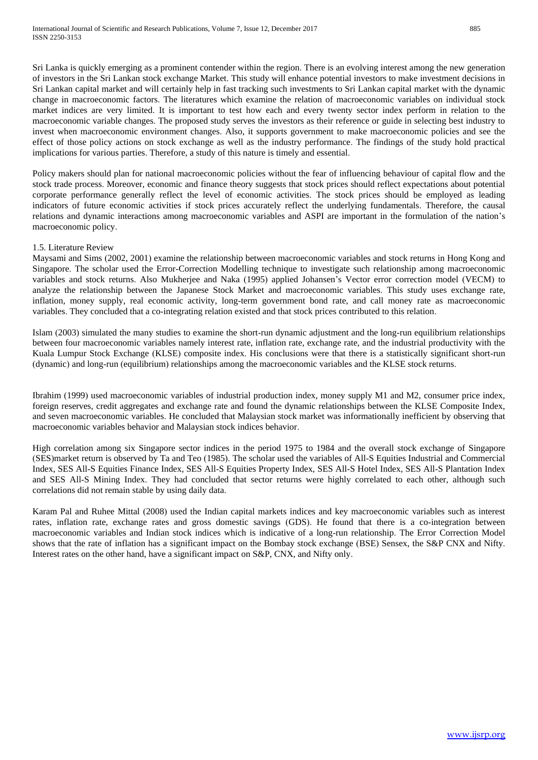Sri Lanka is quickly emerging as a prominent contender within the region. There is an evolving interest among the new generation of investors in the Sri Lankan stock exchange Market. This study will enhance potential investors to make investment decisions in Sri Lankan capital market and will certainly help in fast tracking such investments to Sri Lankan capital market with the dynamic change in macroeconomic factors. The literatures which examine the relation of macroeconomic variables on individual stock market indices are very limited. It is important to test how each and every twenty sector index perform in relation to the macroeconomic variable changes. The proposed study serves the investors as their reference or guide in selecting best industry to invest when macroeconomic environment changes. Also, it supports government to make macroeconomic policies and see the effect of those policy actions on stock exchange as well as the industry performance. The findings of the study hold practical implications for various parties. Therefore, a study of this nature is timely and essential.

Policy makers should plan for national macroeconomic policies without the fear of influencing behaviour of capital flow and the stock trade process. Moreover, economic and finance theory suggests that stock prices should reflect expectations about potential corporate performance generally reflect the level of economic activities. The stock prices should be employed as leading indicators of future economic activities if stock prices accurately reflect the underlying fundamentals. Therefore, the causal relations and dynamic interactions among macroeconomic variables and ASPI are important in the formulation of the nation's macroeconomic policy.

## 1.5. Literature Review

Maysami and Sims (2002, 2001) examine the relationship between macroeconomic variables and stock returns in Hong Kong and Singapore. The scholar used the Error-Correction Modelling technique to investigate such relationship among macroeconomic variables and stock returns. Also Mukherjee and Naka (1995) applied Johansen's Vector error correction model (VECM) to analyze the relationship between the Japanese Stock Market and macroeconomic variables. This study uses exchange rate, inflation, money supply, real economic activity, long-term government bond rate, and call money rate as macroeconomic variables. They concluded that a co-integrating relation existed and that stock prices contributed to this relation.

Islam (2003) simulated the many studies to examine the short-run dynamic adjustment and the long-run equilibrium relationships between four macroeconomic variables namely interest rate, inflation rate, exchange rate, and the industrial productivity with the Kuala Lumpur Stock Exchange (KLSE) composite index. His conclusions were that there is a statistically significant short-run (dynamic) and long-run (equilibrium) relationships among the macroeconomic variables and the KLSE stock returns.

Ibrahim (1999) used macroeconomic variables of industrial production index, money supply M1 and M2, consumer price index, foreign reserves, credit aggregates and exchange rate and found the dynamic relationships between the KLSE Composite Index, and seven macroeconomic variables. He concluded that Malaysian stock market was informationally inefficient by observing that macroeconomic variables behavior and Malaysian stock indices behavior.

High correlation among six Singapore sector indices in the period 1975 to 1984 and the overall stock exchange of Singapore (SES)market return is observed by Ta and Teo (1985). The scholar used the variables of All-S Equities Industrial and Commercial Index, SES All-S Equities Finance Index, SES All-S Equities Property Index, SES All-S Hotel Index, SES All-S Plantation Index and SES All-S Mining Index. They had concluded that sector returns were highly correlated to each other, although such correlations did not remain stable by using daily data.

Karam Pal and Ruhee Mittal (2008) used the Indian capital markets indices and key macroeconomic variables such as interest rates, inflation rate, exchange rates and gross domestic savings (GDS). He found that there is a co-integration between macroeconomic variables and Indian stock indices which is indicative of a long-run relationship. The Error Correction Model shows that the rate of inflation has a significant impact on the Bombay stock exchange (BSE) Sensex, the S&P CNX and Nifty. Interest rates on the other hand, have a significant impact on S&P, CNX, and Nifty only.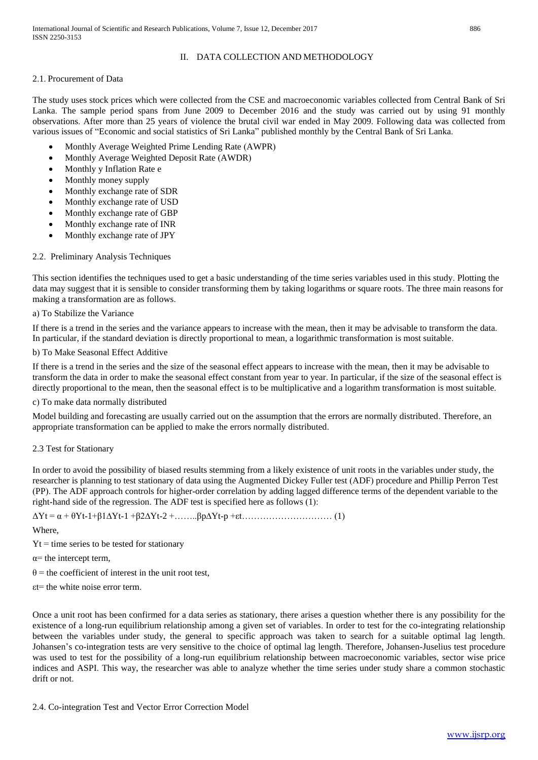# II. DATA COLLECTION AND METHODOLOGY

# 2.1. Procurement of Data

The study uses stock prices which were collected from the CSE and macroeconomic variables collected from Central Bank of Sri Lanka. The sample period spans from June 2009 to December 2016 and the study was carried out by using 91 monthly observations. After more than 25 years of violence the brutal civil war ended in May 2009. Following data was collected from various issues of "Economic and social statistics of Sri Lanka" published monthly by the Central Bank of Sri Lanka.

- Monthly Average Weighted Prime Lending Rate (AWPR)
- Monthly Average Weighted Deposit Rate (AWDR)
- Monthly y Inflation Rate e
- Monthly money supply
- Monthly exchange rate of SDR
- Monthly exchange rate of USD
- Monthly exchange rate of GBP
- Monthly exchange rate of INR
- Monthly exchange rate of JPY

# 2.2. Preliminary Analysis Techniques

This section identifies the techniques used to get a basic understanding of the time series variables used in this study. Plotting the data may suggest that it is sensible to consider transforming them by taking logarithms or square roots. The three main reasons for making a transformation are as follows.

# a) To Stabilize the Variance

If there is a trend in the series and the variance appears to increase with the mean, then it may be advisable to transform the data. In particular, if the standard deviation is directly proportional to mean, a logarithmic transformation is most suitable.

# b) To Make Seasonal Effect Additive

If there is a trend in the series and the size of the seasonal effect appears to increase with the mean, then it may be advisable to transform the data in order to make the seasonal effect constant from year to year. In particular, if the size of the seasonal effect is directly proportional to the mean, then the seasonal effect is to be multiplicative and a logarithm transformation is most suitable.

c) To make data normally distributed

Model building and forecasting are usually carried out on the assumption that the errors are normally distributed. Therefore, an appropriate transformation can be applied to make the errors normally distributed.

# 2.3 Test for Stationary

In order to avoid the possibility of biased results stemming from a likely existence of unit roots in the variables under study, the researcher is planning to test stationary of data using the Augmented Dickey Fuller test (ADF) procedure and Phillip Perron Test (PP). The ADF approach controls for higher-order correlation by adding lagged difference terms of the dependent variable to the right-hand side of the regression. The ADF test is specified here as follows (1):

ΔYt = α + θYt-1+β1∆Yt-1 +β2∆Yt-2 +……..βp∆Yt-p +εt………………………… (1)

Where,

 $Yt =$  time series to be tested for stationary

- $\alpha$ = the intercept term,
- $\theta$  = the coefficient of interest in the unit root test,
- εt= the white noise error term.

Once a unit root has been confirmed for a data series as stationary, there arises a question whether there is any possibility for the existence of a long-run equilibrium relationship among a given set of variables. In order to test for the co-integrating relationship between the variables under study, the general to specific approach was taken to search for a suitable optimal lag length. Johansen's co-integration tests are very sensitive to the choice of optimal lag length. Therefore, Johansen-Juselius test procedure was used to test for the possibility of a long-run equilibrium relationship between macroeconomic variables, sector wise price indices and ASPI. This way, the researcher was able to analyze whether the time series under study share a common stochastic drift or not.

# 2.4. Co-integration Test and Vector Error Correction Model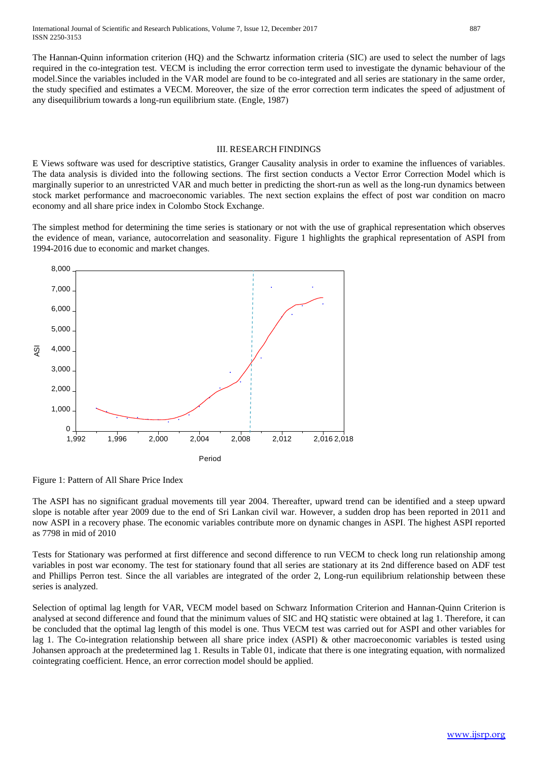The Hannan-Quinn information criterion (HQ) and the Schwartz information criteria (SIC) are used to select the number of lags required in the co-integration test. VECM is including the error correction term used to investigate the dynamic behaviour of the model.Since the variables included in the VAR model are found to be co-integrated and all series are stationary in the same order, the study specified and estimates a VECM. Moreover, the size of the error correction term indicates the speed of adjustment of any disequilibrium towards a long-run equilibrium state. (Engle, 1987)

#### III. RESEARCH FINDINGS

E Views software was used for descriptive statistics, Granger Causality analysis in order to examine the influences of variables. The data analysis is divided into the following sections. The first section conducts a Vector Error Correction Model which is marginally superior to an unrestricted VAR and much better in predicting the short-run as well as the long-run dynamics between stock market performance and macroeconomic variables. The next section explains the effect of post war condition on macro economy and all share price index in Colombo Stock Exchange.

The simplest method for determining the time series is stationary or not with the use of graphical representation which observes the evidence of mean, variance, autocorrelation and seasonality. Figure 1 highlights the graphical representation of ASPI from 1994-2016 due to economic and market changes.



Figure 1: Pattern of All Share Price Index

The ASPI has no significant gradual movements till year 2004. Thereafter, upward trend can be identified and a steep upward slope is notable after year 2009 due to the end of Sri Lankan civil war. However, a sudden drop has been reported in 2011 and now ASPI in a recovery phase. The economic variables contribute more on dynamic changes in ASPI. The highest ASPI reported as 7798 in mid of 2010

Tests for Stationary was performed at first difference and second difference to run VECM to check long run relationship among variables in post war economy. The test for stationary found that all series are stationary at its 2nd difference based on ADF test and Phillips Perron test. Since the all variables are integrated of the order 2, Long-run equilibrium relationship between these series is analyzed.

Selection of optimal lag length for VAR, VECM model based on Schwarz Information Criterion and Hannan-Quinn Criterion is analysed at second difference and found that the minimum values of SIC and HQ statistic were obtained at lag 1. Therefore, it can be concluded that the optimal lag length of this model is one. Thus VECM test was carried out for ASPI and other variables for lag 1. The Co-integration relationship between all share price index (ASPI) & other macroeconomic variables is tested using Johansen approach at the predetermined lag 1. Results in Table 01, indicate that there is one integrating equation, with normalized cointegrating coefficient. Hence, an error correction model should be applied.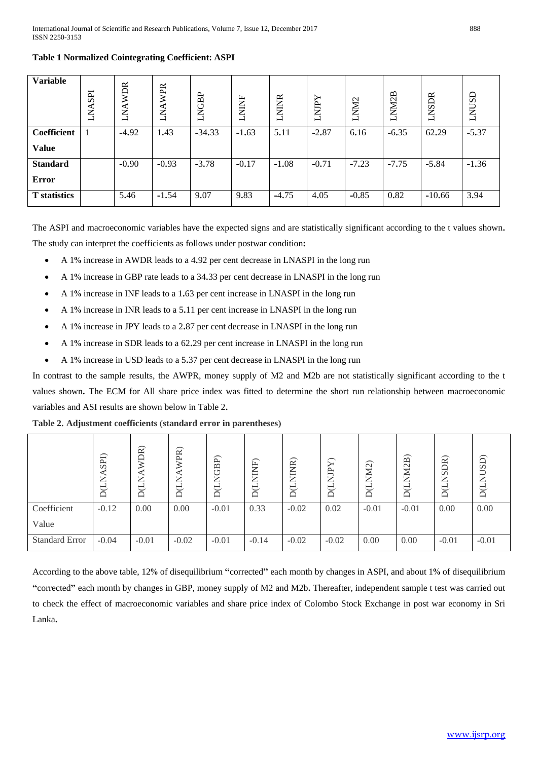| <b>Variable</b>     | <b>SPI</b><br>ZД | <b>AWDR</b><br>$\overline{\mathrm{K}}$ | <b>WPR</b><br>≺<br>Z<br>━ | <b>NGBP</b><br>┙ | <b>NINF</b><br>⊣ | <b>NINR</b><br>⊣ | ≻<br><b>AIN</b><br>⊣ | NM <sub>2</sub><br>⊣ | NM2B<br>┙ | LNSDR    | LNUSD   |
|---------------------|------------------|----------------------------------------|---------------------------|------------------|------------------|------------------|----------------------|----------------------|-----------|----------|---------|
| Coefficient         |                  | $-4.92$                                | 1.43                      | $-34.33$         | $-1.63$          | 5.11             | $-2.87$              | 6.16                 | $-6.35$   | 62.29    | $-5.37$ |
| <b>Value</b>        |                  |                                        |                           |                  |                  |                  |                      |                      |           |          |         |
| <b>Standard</b>     |                  | $-0.90$                                | $-0.93$                   | $-3.78$          | $-0.17$          | $-1.08$          | $-0.71$              | $-7.23$              | $-7.75$   | $-5.84$  | $-1.36$ |
| <b>Error</b>        |                  |                                        |                           |                  |                  |                  |                      |                      |           |          |         |
| <b>T</b> statistics |                  | 5.46                                   | $-1.54$                   | 9.07             | 9.83             | $-4.75$          | 4.05                 | $-0.85$              | 0.82      | $-10.66$ | 3.94    |

# **Table 1 Normalized Cointegrating Coefficient: ASPI**

The ASPI and macroeconomic variables have the expected signs and are statistically significant according to the t values shown**.**  The study can interpret the coefficients as follows under postwar condition**:**

- A 1**%** increase in AWDR leads to a 4**.**92 per cent decrease in LNASPI in the long run
- A 1**%** increase in GBP rate leads to a 34**.**33 per cent decrease in LNASPI in the long run
- A 1**%** increase in INF leads to a 1**.**63 per cent increase in LNASPI in the long run
- A 1**%** increase in INR leads to a 5**.**11 per cent increase in LNASPI in the long run
- A 1**%** increase in JPY leads to a 2**.**87 per cent decrease in LNASPI in the long run
- A 1**%** increase in SDR leads to a 62**.**29 per cent increase in LNASPI in the long run
- A 1**%** increase in USD leads to a 5**.**37 per cent decrease in LNASPI in the long run

In contrast to the sample results, the AWPR, money supply of M2 and M2b are not statistically significant according to the t values shown**.** The ECM for All share price index was fitted to determine the short run relationship between macroeconomic variables and ASI results are shown below in Table 2**.**

|                       | SPI)    | <b>OR</b><br>⇁<br>≏ | WPR)<br>Z<br>ī<br>≏ | JBP)<br>ž<br>J<br>≏ | Ę<br>Ê<br>ਦ<br>$\Box$ | $\widetilde{\mathbb{E}}$<br>₿<br>$\Box$ | $\overline{\phantom{0}}$<br>↘<br>ĴР<br>J<br>$\Box$ | $\widetilde{12}$<br>⋚<br>≏ | ≃<br>$\mathrel{\sim}$<br>⇁<br>⊢ | )R)<br>$_{\rm SI}$<br>⇁<br>≏ | SD)<br>⊢<br>⇁<br>$\Box$ |
|-----------------------|---------|---------------------|---------------------|---------------------|-----------------------|-----------------------------------------|----------------------------------------------------|----------------------------|---------------------------------|------------------------------|-------------------------|
| Coefficient<br>Value  | $-0.12$ | 0.00                | 0.00                | $-0.01$             | 0.33                  | $-0.02$                                 | 0.02                                               | $-0.01$                    | $-0.01$                         | 0.00                         | 0.00                    |
| <b>Standard Error</b> | $-0.04$ | $-0.01$             | $-0.02$             | $-0.01$             | $-0.14$               | $-0.02$                                 | $-0.02$                                            | 0.00                       | 0.00                            | $-0.01$                      | $-0.01$                 |

**Table 2. Adjustment coefficients (standard error in parentheses)**

According to the above table, 12**%** of disequilibrium **"**corrected**"** each month by changes in ASPI, and about 1**%** of disequilibrium **"**corrected**"** each month by changes in GBP, money supply of M2 and M2b**.** Thereafter, independent sample t test was carried out to check the effect of macroeconomic variables and share price index of Colombo Stock Exchange in post war economy in Sri Lanka**.**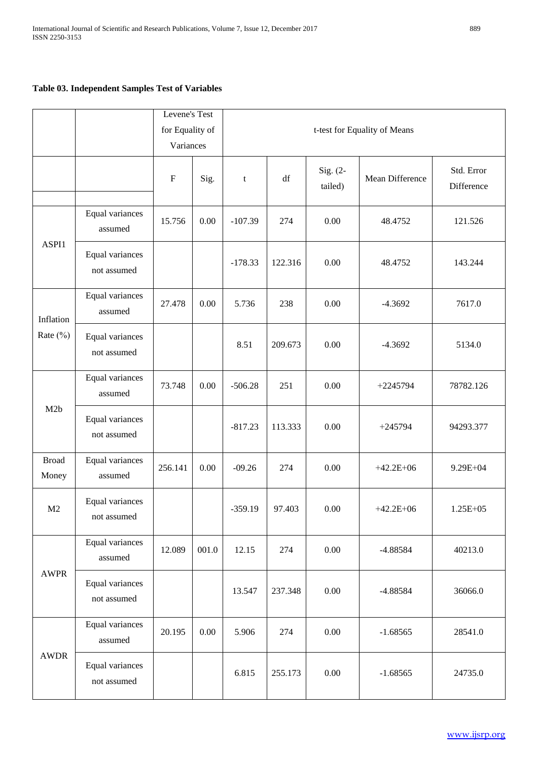# **Table 03. Independent Samples Test of Variables**

|                       |                                | Levene's Test |                 |             |                              |                       |                 |                          |  |  |  |
|-----------------------|--------------------------------|---------------|-----------------|-------------|------------------------------|-----------------------|-----------------|--------------------------|--|--|--|
|                       |                                |               | for Equality of |             | t-test for Equality of Means |                       |                 |                          |  |  |  |
|                       |                                | Variances     |                 |             |                              |                       |                 |                          |  |  |  |
|                       |                                | $\mathbf F$   | Sig.            | $\mathbf t$ | $\mathrm{d}\mathrm{f}$       | $Sig. (2-$<br>tailed) | Mean Difference | Std. Error<br>Difference |  |  |  |
| ASPI1                 | Equal variances<br>assumed     | 15.756        | 0.00            | $-107.39$   | 274                          | 0.00                  | 48.4752         | 121.526                  |  |  |  |
|                       | Equal variances<br>not assumed |               |                 | $-178.33$   | 122.316                      | 0.00                  | 48.4752         | 143.244                  |  |  |  |
| Inflation             | Equal variances<br>assumed     | 27.478        | 0.00            | 5.736       | 238                          | 0.00                  | $-4.3692$       | 7617.0                   |  |  |  |
| Rate $(\%)$           | Equal variances<br>not assumed |               |                 | 8.51        | 209.673                      | 0.00                  | $-4.3692$       | 5134.0                   |  |  |  |
| M2b                   | Equal variances<br>assumed     | 73.748        | 0.00            | $-506.28$   | 251                          | 0.00                  | $+2245794$      | 78782.126                |  |  |  |
|                       | Equal variances<br>not assumed |               |                 | $-817.23$   | 113.333                      | 0.00                  | $+245794$       | 94293.377                |  |  |  |
| <b>Broad</b><br>Money | Equal variances<br>assumed     | 256.141       | 0.00            | $-09.26$    | 274                          | 0.00                  | $+42.2E+06$     | 9.29E+04                 |  |  |  |
| M2                    | Equal variances<br>not assumed |               |                 | $-359.19$   | 97.403                       | $0.00\,$              | $+42.2E+06$     | $1.25E + 05$             |  |  |  |
| <b>AWPR</b>           | Equal variances<br>assumed     | 12.089        | 001.0           | 12.15       | 274                          | 0.00                  | $-4.88584$      | 40213.0                  |  |  |  |
|                       | Equal variances<br>not assumed |               |                 | 13.547      | 237.348                      | 0.00                  | $-4.88584$      | 36066.0                  |  |  |  |
| <b>AWDR</b>           | Equal variances<br>assumed     | 20.195        | $0.00\,$        | 5.906       | 274                          | 0.00                  | $-1.68565$      | 28541.0                  |  |  |  |
|                       | Equal variances<br>not assumed |               |                 | 6.815       | 255.173                      | 0.00                  | $-1.68565$      | 24735.0                  |  |  |  |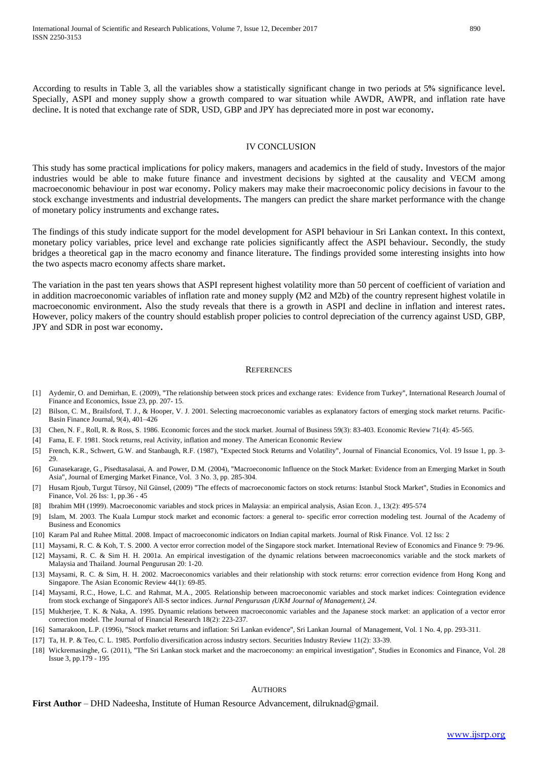According to results in Table 3, all the variables show a statistically significant change in two periods at 5**%** significance level**.**  Specially, ASPI and money supply show a growth compared to war situation while AWDR, AWPR, and inflation rate have decline**.** It is noted that exchange rate of SDR, USD, GBP and JPY has depreciated more in post war economy**.** 

#### IV CONCLUSION

This study has some practical implications for policy makers, managers and academics in the field of study**.** Investors of the major industries would be able to make future finance and investment decisions by sighted at the causality and VECM among macroeconomic behaviour in post war economy**.** Policy makers may make their macroeconomic policy decisions in favour to the stock exchange investments and industrial developments**.** The mangers can predict the share market performance with the change of monetary policy instruments and exchange rates**.**

The findings of this study indicate support for the model development for ASPI behaviour in Sri Lankan context**.** In this context, monetary policy variables, price level and exchange rate policies significantly affect the ASPI behaviour**.** Secondly, the study bridges a theoretical gap in the macro economy and finance literature**.** The findings provided some interesting insights into how the two aspects macro economy affects share market**.**

The variation in the past ten years shows that ASPI represent highest volatility more than 50 percent of coefficient of variation and in addition macroeconomic variables of inflation rate and money supply **(**M2 and M2b**)** of the country represent highest volatile in macroeconomic environment**.** Also the study reveals that there is a growth in ASPI and decline in inflation and interest rates**.**  However, policy makers of the country should establish proper policies to control depreciation of the currency against USD, GBP, JPY and SDR in post war economy**.** 

#### **REFERENCES**

- [1] Aydemir, O. and Demirhan, E. (2009), "The relationship between stock prices and exchange rates: Evidence from Turkey", International Research Journal of Finance and Economics, Issue 23, pp. 207- 15.
- [2] Bilson, C. M., Brailsford, T. J., & Hooper, V. J. 2001. Selecting macroeconomic variables as explanatory factors of emerging stock market returns. Pacific-Basin Finance Journal, 9(4), 401–426
- [3] Chen, N. F., Roll, R. & Ross, S. 1986. Economic forces and the stock market. Journal of Business 59(3): 83-403. Economic Review 71(4): 45-565.
- [4] Fama, E. F. 1981. Stock returns, real Activity, inflation and money. The American Economic Review
- [5] French, K.R., Schwert, G.W. and Stanbaugh, R.F. (1987), "Expected Stock Returns and Volatility", Journal of Financial Economics, Vol. 19 Issue 1, pp. 3- 29.
- [6] Gunasekarage, G., Pisedtasalasai, A. and Power, D.M. (2004), "Macroeconomic Influence on the Stock Market: Evidence from an Emerging Market in South Asia", Journal of Emerging Market Finance, Vol. 3 No. 3, pp. 285-304.
- [7] Husam Rjoub, Turgut Türsoy, Nil Günsel, (2009) "The effects of macroeconomic factors on stock returns: Istanbul Stock Market", Studies in Economics and Finance, Vol. 26 Iss: 1, pp.36 - 45
- [8] Ibrahim MH (1999). Macroeconomic variables and stock prices in Malaysia: an empirical analysis, Asian Econ. J., 13(2): 495-574
- [9] Islam, M. 2003. The Kuala Lumpur stock market and economic factors: a general to- specific error correction modeling test. Journal of the Academy of Business and Economics
- [10] Karam Pal and Ruhee Mittal. 2008. Impact of macroeconomic indicators on Indian capital markets. Journal of Risk Finance. Vol. 12 Iss: 2
- [11] Maysami, R. C. & Koh, T. S. 2000. A vector error correction model of the Singapore stock market. International Review of Economics and Finance 9: 79-96.
- [12] Maysami, R. C. & Sim H. H. 2001a. An empirical investigation of the dynamic relations between macroeconomics variable and the stock markets of Malaysia and Thailand. Journal Pengurusan 20: 1-20.
- [13] Maysami, R. C. & Sim, H. H. 2002. Macroeconomics variables and their relationship with stock returns: error correction evidence from Hong Kong and Singapore. The Asian Economic Review 44(1): 69-85.
- [14] Maysami, R.C., Howe, L.C. and Rahmat, M.A., 2005. Relationship between macroeconomic variables and stock market indices: Cointegration evidence from stock exchange of Singapore's All-S sector indices. *Jurnal Pengurusan* (*UKM Journal of Management*), *24*.
- [15] Mukherjee, T. K. & Naka, A. 1995. Dynamic relations between macroeconomic variables and the Japanese stock market: an application of a vector error correction model. The Journal of Financial Research 18(2): 223-237.
- [16] Samarakoon, L.P. (1996), "Stock market returns and inflation: Sri Lankan evidence", Sri Lankan Journal of Management, Vol. 1 No. 4, pp. 293-311.
- [17] Ta, H. P. & Teo, C. L. 1985. Portfolio diversification across industry sectors. Securities Industry Review 11(2): 33-39.
- [18] Wickremasinghe, G. (2011), "The Sri Lankan stock market and the macroeconomy: an empirical investigation", Studies in Economics and Finance, Vol. 28 Issue 3, pp.179 - 195

#### **AUTHORS**

#### **First Author** – DHD Nadeesha, Institute of Human Resource Advancement, dilruknad@gmail.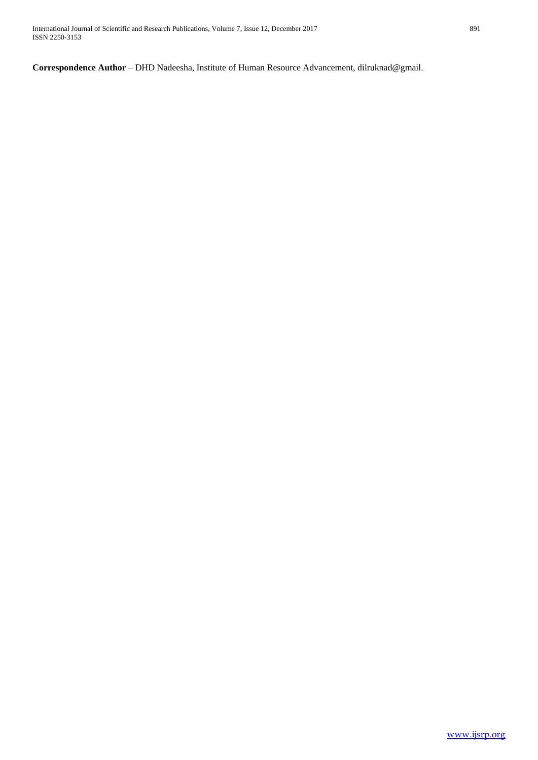Correspondence Author - DHD Nadeesha, Institute of Human Resource Advancement, dilruknad@gmail.